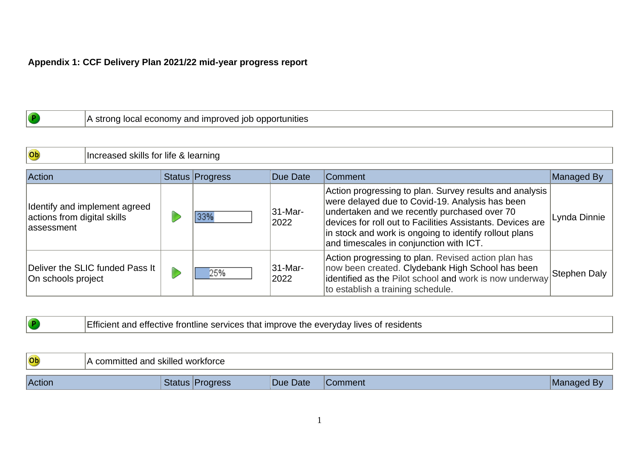## **Appendix 1: CCF Delivery Plan 2021/22 mid-year progress report**

|  | and improved iob opportunities /<br>.A str<br><b>Tocal economy</b><br>ona<br>. . |
|--|----------------------------------------------------------------------------------|
|--|----------------------------------------------------------------------------------|

| Ob                                         | Increased skills for life & learning |  |                 |                 |                                                                                                                                                                                                                                                                                                                               |              |
|--------------------------------------------|--------------------------------------|--|-----------------|-----------------|-------------------------------------------------------------------------------------------------------------------------------------------------------------------------------------------------------------------------------------------------------------------------------------------------------------------------------|--------------|
| Action                                     |                                      |  | Status Progress | Due Date        | <b>Comment</b>                                                                                                                                                                                                                                                                                                                | Managed By   |
| actions from digital skills<br>lassessment | Identify and implement agreed        |  |                 | 31-Mar-<br>2022 | Action progressing to plan. Survey results and analysis<br>were delayed due to Covid-19. Analysis has been<br>undertaken and we recently purchased over 70<br>devices for roll out to Facilities Assistants. Devices are<br>in stock and work is ongoing to identify rollout plans<br>and timescales in conjunction with ICT. | Lynda Dinnie |
| On schools project                         | Deliver the SLIC funded Pass It      |  | 25%             | 31-Mar-<br>2022 | Action progressing to plan. Revised action plan has<br>now been created. Clydebank High School has been<br>identified as the Pilot school and work is now underway<br>to establish a training schedule.                                                                                                                       | Stephen Daly |

|  | lives of<br>eve<br>services that imc<br>nune<br>ervoav<br>orove<br>-TIVE<br>-me<br>' coiuci ild |
|--|-------------------------------------------------------------------------------------------------|
|  |                                                                                                 |

| Ob<br>$\sim$ | I committed and skilled workforce |          |         |                |
|--------------|-----------------------------------|----------|---------|----------------|
| Action       | rogress                           | Due Date | Comment | Bv<br> Managed |

<u> 1980 - Johann Barn, amerikansk politiker (</u>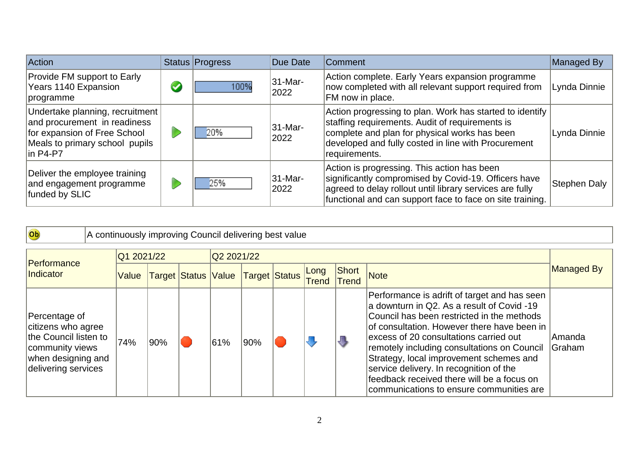| <b>Action</b>                                                                                                                                    |                      | Status Progress | Due Date        | Comment                                                                                                                                                                                                                              | Managed By   |
|--------------------------------------------------------------------------------------------------------------------------------------------------|----------------------|-----------------|-----------------|--------------------------------------------------------------------------------------------------------------------------------------------------------------------------------------------------------------------------------------|--------------|
| <b>Provide FM support to Early</b><br>Years 1140 Expansion<br>programme                                                                          | $\blacktriangledown$ | 100%            | 31-Mar-<br>2022 | Action complete. Early Years expansion programme<br>now completed with all relevant support required from<br>FM now in place.                                                                                                        | Lynda Dinnie |
| Undertake planning, recruitment<br>and procurement in readiness<br>for expansion of Free School<br>Meals to primary school pupils<br>$\ln P4-P7$ |                      | 20%             | 31-Mar-<br>2022 | Action progressing to plan. Work has started to identify<br>staffing requirements. Audit of requirements is<br>complete and plan for physical works has been<br>developed and fully costed in line with Procurement<br>requirements. | Lynda Dinnie |
| Deliver the employee training<br>and engagement programme<br>funded by SLIC                                                                      |                      | 25%             | 31-Mar-<br>2022 | Action is progressing. This action has been<br>significantly compromised by Covid-19. Officers have<br>agreed to delay rollout until library services are fully<br>functional and can support face to face on site training.         | Stephen Daly |

| Ob                                                                                                                           | A continuously improving Council delivering best value |     |  |            |                                   |  |               |                       |                                                                                                                                                                                                                                                                                                                                                                                                                                                                  |                                |
|------------------------------------------------------------------------------------------------------------------------------|--------------------------------------------------------|-----|--|------------|-----------------------------------|--|---------------|-----------------------|------------------------------------------------------------------------------------------------------------------------------------------------------------------------------------------------------------------------------------------------------------------------------------------------------------------------------------------------------------------------------------------------------------------------------------------------------------------|--------------------------------|
| Performance<br>Indicator                                                                                                     | Q1 2021/22<br>Value                                    |     |  | Q2 2021/22 | Target Status Value Target Status |  | Long<br>Trend | Short<br><b>Trend</b> | <b>Note</b>                                                                                                                                                                                                                                                                                                                                                                                                                                                      | Managed By                     |
| Percentage of<br>citizens who agree<br>the Council listen to<br>community views<br>when designing and<br>delivering services | 74%                                                    | 90% |  | 61%        | 90%                               |  |               | J                     | Performance is adrift of target and has seen<br>a downturn in Q2. As a result of Covid -19<br>Council has been restricted in the methods<br>of consultation. However there have been in<br>excess of 20 consultations carried out<br>remotely including consultations on Council<br>Strategy, local improvement schemes and<br>service delivery. In recognition of the<br>feedback received there will be a focus on<br>communications to ensure communities are | <b>Amanda</b><br><b>Graham</b> |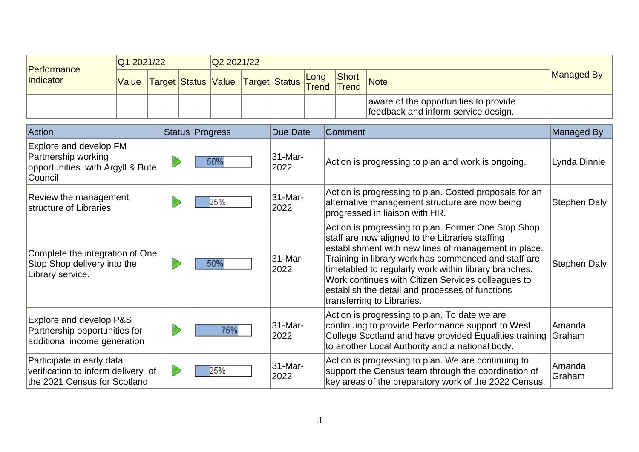| Performance | Q1 2021/22                                         |  | Q2 2021/22 |  |  |       |                                                                              |            |
|-------------|----------------------------------------------------|--|------------|--|--|-------|------------------------------------------------------------------------------|------------|
| Indicator   | Value Target Status Value Target Status Long Short |  |            |  |  | Short | <b>Note</b>                                                                  | Managed By |
|             |                                                    |  |            |  |  |       | aware of the opportunities to provide<br>feedback and inform service design. |            |

| Action                                                                                          | Status Progress | <b>Due Date</b> | <b>Comment</b>                                                                                                                                                                                                                                                                                                                                                                                                         | Managed By          |
|-------------------------------------------------------------------------------------------------|-----------------|-----------------|------------------------------------------------------------------------------------------------------------------------------------------------------------------------------------------------------------------------------------------------------------------------------------------------------------------------------------------------------------------------------------------------------------------------|---------------------|
| Explore and develop FM<br>Partnership working<br>opportunities with Argyll & Bute<br>Council    | 50%             | 31-Mar-<br>2022 | Action is progressing to plan and work is ongoing.                                                                                                                                                                                                                                                                                                                                                                     | Lynda Dinnie        |
| Review the management<br>structure of Libraries                                                 | 25%             | 31-Mar-<br>2022 | Action is progressing to plan. Costed proposals for an<br>alternative management structure are now being<br>progressed in liaison with HR.                                                                                                                                                                                                                                                                             | <b>Stephen Daly</b> |
| Complete the integration of One<br>Stop Shop delivery into the<br>Library service.              | 50%             | 31-Mar-<br>2022 | Action is progressing to plan. Former One Stop Shop<br>staff are now aligned to the Libraries staffing<br>establishment with new lines of management in place.<br>Training in library work has commenced and staff are<br>timetabled to regularly work within library branches.<br>Work continues with Citizen Services colleagues to<br>establish the detail and processes of functions<br>transferring to Libraries. | <b>Stephen Daly</b> |
| Explore and develop P&S<br>Partnership opportunities for<br>additional income generation        | 75%             | 31-Mar-<br>2022 | Action is progressing to plan. To date we are<br>continuing to provide Performance support to West<br>College Scotland and have provided Equalities training<br>to another Local Authority and a national body.                                                                                                                                                                                                        | Amanda<br>Graham    |
| Participate in early data<br>verification to inform delivery of<br>the 2021 Census for Scotland | 25%             | 31-Mar-<br>2022 | Action is progressing to plan. We are continuing to<br>support the Census team through the coordination of<br>key areas of the preparatory work of the 2022 Census,                                                                                                                                                                                                                                                    | Amanda<br>Graham    |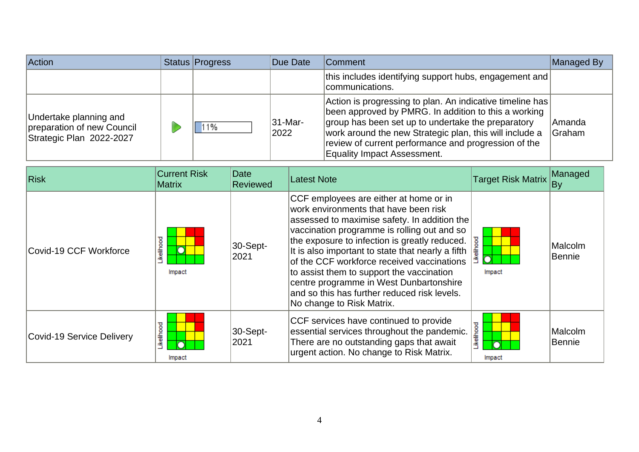| Action                                                                           | Status Progress | Due Date        | Comment                                                                                                                                                                                                                                                                                                                          | Managed By              |
|----------------------------------------------------------------------------------|-----------------|-----------------|----------------------------------------------------------------------------------------------------------------------------------------------------------------------------------------------------------------------------------------------------------------------------------------------------------------------------------|-------------------------|
|                                                                                  |                 |                 | this includes identifying support hubs, engagement and<br> communications.                                                                                                                                                                                                                                                       |                         |
| Undertake planning and<br>preparation of new Council<br>Strategic Plan 2022-2027 | 1%              | 31-Mar-<br>2022 | Action is progressing to plan. An indicative timeline has<br>been approved by PMRG. In addition to this a working<br>group has been set up to undertake the preparatory<br>work around the new Strategic plan, this will include a<br>review of current performance and progression of the<br><b>Equality Impact Assessment.</b> | Amanda<br><b>Graham</b> |

| <b>Risk</b>               | <b>Current Risk</b><br>Matrix | Date<br><b>Reviewed</b> | Latest Note                                                                                                                                                                                                                                                                                                                                                                                                                                                                                             | <b>Target Risk Matrix</b> | Managed<br>By            |
|---------------------------|-------------------------------|-------------------------|---------------------------------------------------------------------------------------------------------------------------------------------------------------------------------------------------------------------------------------------------------------------------------------------------------------------------------------------------------------------------------------------------------------------------------------------------------------------------------------------------------|---------------------------|--------------------------|
| Covid-19 CCF Workforce    | ikelihood<br>Impact           | 30-Sept-<br>2021        | CCF employees are either at home or in<br>work environments that have been risk<br>assessed to maximise safety. In addition the<br>vaccination programme is rolling out and so<br>the exposure to infection is greatly reduced.<br>It is also important to state that nearly a fifth<br>of the CCF workforce received vaccinations<br>to assist them to support the vaccination<br>centre programme in West Dunbartonshire<br>and so this has further reduced risk levels.<br>No change to Risk Matrix. | ह<br>흛<br>Impact          | Malcolm<br><b>Bennie</b> |
| Covid-19 Service Delivery | .ikelihood<br>Impact          | 30-Sept-<br>2021        | CCF services have continued to provide<br>essential services throughout the pandemic.<br>There are no outstanding gaps that await<br>urgent action. No change to Risk Matrix.                                                                                                                                                                                                                                                                                                                           | .ikelihood<br>Impact      | Malcolm<br>Bennie        |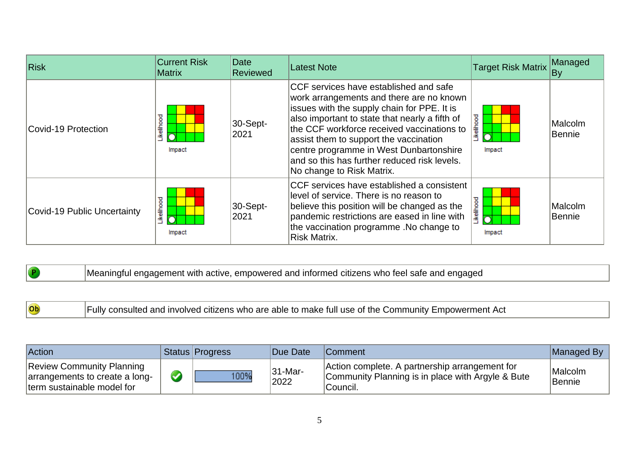| Risk                        | <b>Current Risk</b><br><b>Matrix</b> | Date<br>Reviewed              | <b>Latest Note</b>                                                                                                                                                                                                                                                                                                                                                                                  | <b>Target Risk Matrix</b> | Managed<br>By            |
|-----------------------------|--------------------------------------|-------------------------------|-----------------------------------------------------------------------------------------------------------------------------------------------------------------------------------------------------------------------------------------------------------------------------------------------------------------------------------------------------------------------------------------------------|---------------------------|--------------------------|
| Covid-19 Protection         | ikelihood<br>Impact                  | $ 30 - \text{Sept-} $<br>2021 | CCF services have established and safe<br>work arrangements and there are no known<br>issues with the supply chain for PPE. It is<br>also important to state that nearly a fifth of<br>the CCF workforce received vaccinations to<br>assist them to support the vaccination<br>centre programme in West Dunbartonshire<br>and so this has further reduced risk levels.<br>No change to Risk Matrix. | ikelihood.<br>Impact      | Malcolm<br><b>Bennie</b> |
| Covid-19 Public Uncertainty | ikelihood<br>Impact                  | $ 30 - \text{Sept-} $<br>2021 | CCF services have established a consistent<br>level of service. There is no reason to<br>believe this position will be changed as the<br>pandemic restrictions are eased in line with<br>the vaccination programme .No change to<br>Risk Matrix.                                                                                                                                                    | <b>kelihood</b><br>Impact | Malcolm<br><b>Bennie</b> |

| $\sqrt{P}$ | Meaningful engagement with active, empowered and informed citizens who feel safe and engaged |
|------------|----------------------------------------------------------------------------------------------|
|            |                                                                                              |

 $\overline{\phantom{a}}$ 

| Action                                                                                           | Status Progress | <b>Due Date</b> | <b>Comment</b>                                                                                                     | Managed By               |
|--------------------------------------------------------------------------------------------------|-----------------|-----------------|--------------------------------------------------------------------------------------------------------------------|--------------------------|
| <b>Review Community Planning</b><br>arrangements to create a long-<br>term sustainable model for | 100%            | 31-Mar-<br>2022 | Action complete. A partnership arrangement for<br>Community Planning is in place with Argyle & Bute<br>`Council. ∶ | Malcolm<br><b>Bennie</b> |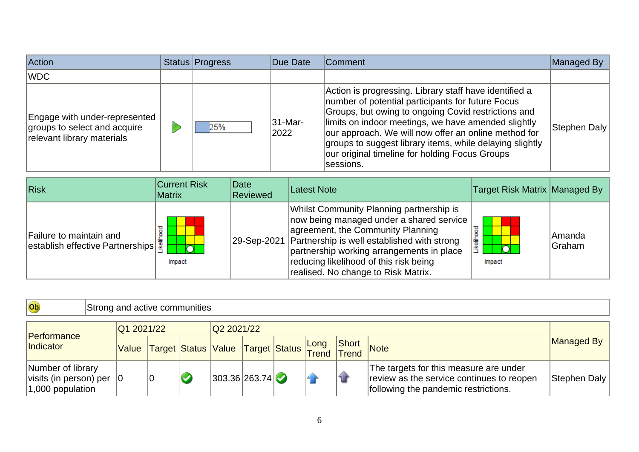| Action                                                                                      | Status Progress | Due Date                     | Comment                                                                                                                                                                                                                                                                                                                                                                                                       | Managed By   |
|---------------------------------------------------------------------------------------------|-----------------|------------------------------|---------------------------------------------------------------------------------------------------------------------------------------------------------------------------------------------------------------------------------------------------------------------------------------------------------------------------------------------------------------------------------------------------------------|--------------|
| WDC                                                                                         |                 |                              |                                                                                                                                                                                                                                                                                                                                                                                                               |              |
| Engage with under-represented<br>groups to select and acquire<br>relevant library materials | 25%             | $ 31 - \text{Mar} -$<br>2022 | Action is progressing. Library staff have identified a<br>number of potential participants for future Focus<br>Groups, but owing to ongoing Covid restrictions and<br>limits on indoor meetings, we have amended slightly<br>our approach. We will now offer an online method for<br>groups to suggest library items, while delaying slightly<br>our original timeline for holding Focus Groups<br> sessions. | Stephen Daly |

| Risk                                                                                                                                | <b>Current Risk</b><br><b>Matrix</b> | Date<br><b>Reviewed</b> | Latest Note                                                                                                                                                                                                                                                                                                               | Target Risk Matrix Managed By |                         |
|-------------------------------------------------------------------------------------------------------------------------------------|--------------------------------------|-------------------------|---------------------------------------------------------------------------------------------------------------------------------------------------------------------------------------------------------------------------------------------------------------------------------------------------------------------------|-------------------------------|-------------------------|
| Failure to maintain and<br>$\begin{bmatrix} \text{radius of rational and} \\ \text{establish effective Partnerships} \end{bmatrix}$ | $\sqrt{2}$<br>Impact                 |                         | <b>Whilst Community Planning partnership is</b><br>now being managed under a shared service<br>agreement, the Community Planning<br>29-Sep-2021 Partnership is well established with strong<br>partnership working arrangements in place<br>reducing likelihood of this risk being<br>realised. No change to Risk Matrix. | ष्ठ<br>ikeliho<br>Impact      | Amanda<br><b>Graham</b> |

| Ob                                                                                | Strong and active communities |  |  |                                                                                                                                                     |               |  |  |  |                |                                                                                                                             |              |
|-----------------------------------------------------------------------------------|-------------------------------|--|--|-----------------------------------------------------------------------------------------------------------------------------------------------------|---------------|--|--|--|----------------|-----------------------------------------------------------------------------------------------------------------------------|--------------|
| Q1 2021/22                                                                        |                               |  |  |                                                                                                                                                     | Q2 2021/22    |  |  |  |                |                                                                                                                             |              |
| Performance<br><i>Indicator</i>                                                   |                               |  |  | $\bigg \mathsf{Value}\bigg $ Target $\bigg \mathsf{Status}\bigg \mathsf{Value}\bigg $ Target $\bigg \mathsf{Status}\bigg \mathsf{Long}\bigg $ Trend |               |  |  |  | Short<br>Trend | Note                                                                                                                        | Managed By   |
| Number of library<br>$ visits$ (in person) per $ 0\rangle$<br>$ 1,000$ population |                               |  |  |                                                                                                                                                     | 303.36 263.74 |  |  |  | 4              | The targets for this measure are under<br>review as the service continues to reopen<br>following the pandemic restrictions. | Stephen Daly |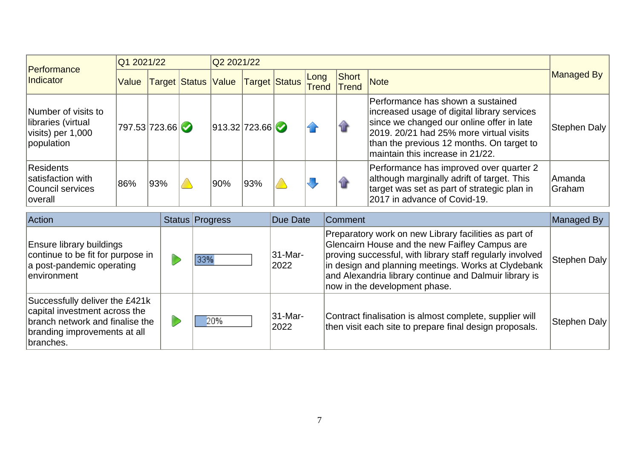|                                                                              |               | Q1 2021/22 |                     |     | Q2 2021/22    |                      |                      |                                                                                                         |                                                                                                                                                                                                                                                           |                  |
|------------------------------------------------------------------------------|---------------|------------|---------------------|-----|---------------|----------------------|----------------------|---------------------------------------------------------------------------------------------------------|-----------------------------------------------------------------------------------------------------------------------------------------------------------------------------------------------------------------------------------------------------------|------------------|
| Performance<br>Indicator                                                     | Value         |            | Target Status Value |     |               | <b>Target Status</b> | Long<br><b>Trend</b> | Short<br><b>Trend</b>                                                                                   | <b>Note</b>                                                                                                                                                                                                                                               | Managed By       |
| Number of visits to<br>libraries (virtual<br>visits) per 1,000<br>population | 797.53 723.66 |            |                     |     | 913.32 723.66 |                      |                      | 僧                                                                                                       | Performance has shown a sustained<br>increased usage of digital library services<br>since we changed our online offer in late<br>2019, 20/21 had 25% more virtual visits<br>than the previous 12 months. On target to<br>maintain this increase in 21/22. | Stephen Daly     |
| Residents<br>satisfaction with<br>Council services<br><i>c</i> verall        | 86%           | 93%        |                     | 90% | 93%           |                      |                      | 42                                                                                                      | Performance has improved over quarter 2<br>although marginally adrift of target. This<br>target was set as part of strategic plan in<br>2017 in advance of Covid-19.                                                                                      | Amanda<br>Graham |
| Action<br>Status Progress                                                    |               |            |                     |     | Due Date      |                      | Comment              |                                                                                                         | Managed By                                                                                                                                                                                                                                                |                  |
| Eneura lihrary huildinge                                                     |               |            |                     |     |               |                      |                      | Preparatory work on new Library facilities as part of<br>Glancairn House and the new Faifley Campus are |                                                                                                                                                                                                                                                           |                  |

| <b>Ensure library buildings</b><br>continue to be fit for purpose in<br>a post-pandemic operating<br>lenvironment                               | 33% | 31-Mar-<br>2022 | Preparatory work on new Library facilities as part of<br>Glencairn House and the new Faifley Campus are<br>proving successful, with library staff regularly involved<br>in design and planning meetings. Works at Clydebank<br>and Alexandria library continue and Dalmuir library is<br>now in the development phase. | Stephen Daly |
|-------------------------------------------------------------------------------------------------------------------------------------------------|-----|-----------------|------------------------------------------------------------------------------------------------------------------------------------------------------------------------------------------------------------------------------------------------------------------------------------------------------------------------|--------------|
| Successfully deliver the £421k<br>capital investment across the<br>branch network and finalise the<br>branding improvements at all<br>branches. | 20% | 31-Mar-<br>2022 | Contract finalisation is almost complete, supplier will<br>then visit each site to prepare final design proposals.                                                                                                                                                                                                     | Stephen Daly |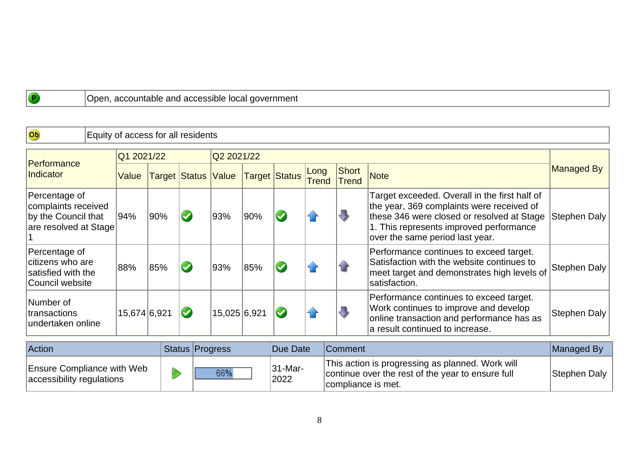Open, accountable and accessible local government

| Ob                                                                                   | Equity of access for all residents |              |     |                 |                            |            |                                                                                                                             |                      |                              |                                                                                                                                                                                                                        |                     |
|--------------------------------------------------------------------------------------|------------------------------------|--------------|-----|-----------------|----------------------------|------------|-----------------------------------------------------------------------------------------------------------------------------|----------------------|------------------------------|------------------------------------------------------------------------------------------------------------------------------------------------------------------------------------------------------------------------|---------------------|
|                                                                                      |                                    | Q1 2021/22   |     |                 |                            | Q2 2021/22 |                                                                                                                             |                      |                              |                                                                                                                                                                                                                        |                     |
| Performance<br>Indicator                                                             |                                    | Value        |     |                 | <b>Target Status Value</b> |            | <b>Target Status</b>                                                                                                        | Long<br><b>Trend</b> | <b>Short</b><br><b>Trend</b> | <b>Note</b>                                                                                                                                                                                                            | Managed By          |
| Percentage of<br>complaints received<br>by the Council that<br>are resolved at Stage |                                    | 94%          | 90% |                 | 93%                        | 90%        |                                                                                                                             |                      | $\overline{\mathbf{u}}$      | Target exceeded. Overall in the first half of<br>the year, 369 complaints were received of<br>these 346 were closed or resolved at Stage<br>1. This represents improved performance<br>over the same period last year. | Stephen Daly        |
| Percentage of<br>citizens who are<br>satisfied with the<br>Council website           |                                    | 88%          | 85% |                 | 93%                        | 85%        |                                                                                                                             |                      | $\mathbf{\hat{u}}$           | Performance continues to exceed target.<br>Satisfaction with the website continues to<br>meet target and demonstrates high levels of<br>satisfaction.                                                                  | Stephen Daly        |
| Number of<br>transactions<br>undertaken online                                       |                                    | 15,674 6,921 |     |                 | 15,025 6,921               |            |                                                                                                                             |                      | ₩                            | Performance continues to exceed target.<br>Work continues to improve and develop<br>online transaction and performance has as<br>a result continued to increase.                                                       | <b>Stephen Daly</b> |
| Action<br><b>Status Progress</b>                                                     |                                    |              |     |                 | Due Date                   |            | Comment                                                                                                                     |                      | Managed By                   |                                                                                                                                                                                                                        |                     |
| <b>Ensure Compliance with Web</b><br>accessibility regulations                       |                                    |              | 66% | 31-Mar-<br>2022 |                            |            | This action is progressing as planned. Work will<br>continue over the rest of the year to ensure full<br>compliance is met. | <b>Stephen Daly</b>  |                              |                                                                                                                                                                                                                        |                     |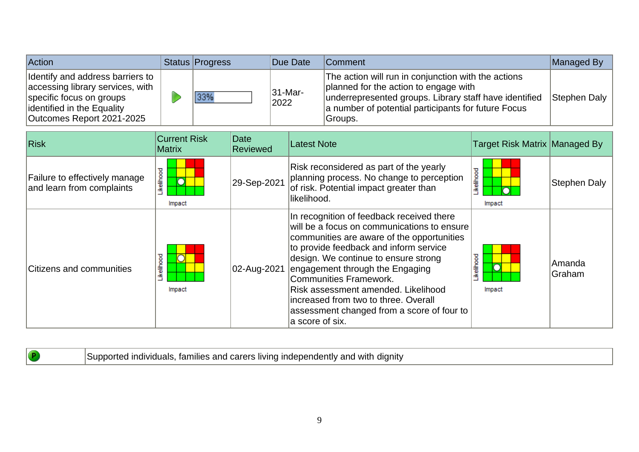| <b>Action</b>                                                                                                                                              | <b>Status Progress</b> | Due Date           | <b>IComment</b>                                                                                                                                                                                                          | Managed By   |
|------------------------------------------------------------------------------------------------------------------------------------------------------------|------------------------|--------------------|--------------------------------------------------------------------------------------------------------------------------------------------------------------------------------------------------------------------------|--------------|
| Identify and address barriers to<br>accessing library services, with<br>specific focus on groups<br>dentified in the Equality<br>Outcomes Report 2021-2025 | 33%                    | $ 31-Mar-$<br>2022 | The action will run in conjunction with the actions<br>planned for the action to engage with<br>underrepresented groups. Library staff have identified<br>a number of potential participants for future Focus<br>Groups. | Stephen Daly |

| <b>Risk</b>                                                | <b>Current Risk</b><br>Matrix   | Date<br>Reviewed | <b>Latest Note</b>                                                                                                                                                                                                                                                                                                                                                                                                                    | <b>Target Risk Matrix Managed By</b> |                                |
|------------------------------------------------------------|---------------------------------|------------------|---------------------------------------------------------------------------------------------------------------------------------------------------------------------------------------------------------------------------------------------------------------------------------------------------------------------------------------------------------------------------------------------------------------------------------------|--------------------------------------|--------------------------------|
| Failure to effectively manage<br>and learn from complaints | ikelihood<br>$\Omega$<br>Impact | 29-Sep-2021      | Risk reconsidered as part of the yearly<br>planning process. No change to perception<br>of risk. Potential impact greater than<br>likelihood.                                                                                                                                                                                                                                                                                         | kelihood<br>Impact                   | Stephen Daly                   |
| Citizens and communities                                   | ikelihood<br>Impact             | 02-Aug-2021      | In recognition of feedback received there<br>will be a focus on communications to ensure<br>communities are aware of the opportunities<br>to provide feedback and inform service<br>design. We continue to ensure strong<br>engagement through the Engaging<br>Communities Framework.<br>Risk assessment amended. Likelihood<br>increased from two to three. Overall<br>assessment changed from a score of four to<br>a score of six. | ikelihood<br>Impact                  | <b>Amanda</b><br><b>Graham</b> |

| $\left( P\right)$ | Supported individuals, families and carers living independently and with dignity |
|-------------------|----------------------------------------------------------------------------------|
|                   |                                                                                  |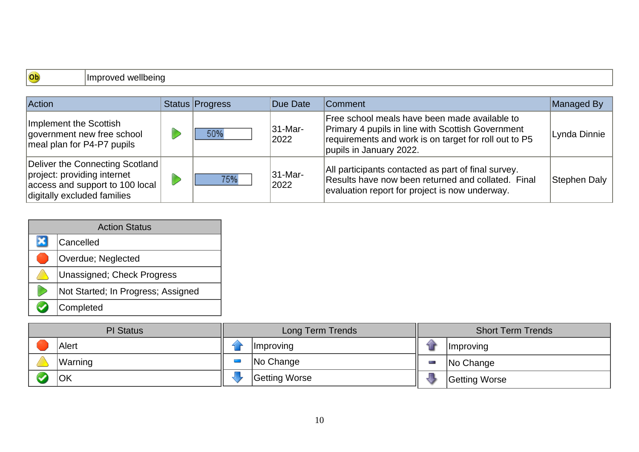## Ob

Improved wellbeing

| Action                                                                                                                           | Status Progress | Due Date                     | <b>Comment</b>                                                                                                                                                                                | Managed By   |
|----------------------------------------------------------------------------------------------------------------------------------|-----------------|------------------------------|-----------------------------------------------------------------------------------------------------------------------------------------------------------------------------------------------|--------------|
| Implement the Scottish<br>government new free school<br>meal plan for P4-P7 pupils                                               | 50%             | $ 31 - \text{Mar} -$<br>2022 | Free school meals have been made available to<br><b>Primary 4 pupils in line with Scottish Government</b><br>requirements and work is on target for roll out to P5<br>pupils in January 2022. | Lynda Dinnie |
| Deliver the Connecting Scotland<br>project: providing internet<br>access and support to 100 local<br>digitally excluded families | 75%             | $ 31 - Mar -$<br>2022        | All participants contacted as part of final survey.<br>Results have now been returned and collated. Final<br>evaluation report for project is now underway.                                   | Stephen Daly |

| <b>Action Status</b> |                                    |  |  |  |
|----------------------|------------------------------------|--|--|--|
|                      | Cancelled                          |  |  |  |
|                      | <b>Overdue</b> ; Neglected         |  |  |  |
|                      | Unassigned; Check Progress         |  |  |  |
|                      | Not Started; In Progress; Assigned |  |  |  |
|                      | Completed                          |  |  |  |

| <b>PI</b> Status |                | Long Term Trends |                  |             | <b>Short Term Trends</b> |  |
|------------------|----------------|------------------|------------------|-------------|--------------------------|--|
|                  | Alert          |                  | <i>Improving</i> | <b>STEP</b> | <i>Improving</i>         |  |
|                  | <b>Warning</b> |                  | No Change        |             | No Change                |  |
|                  | lOK            |                  | Getting Worse    |             | Getting Worse            |  |